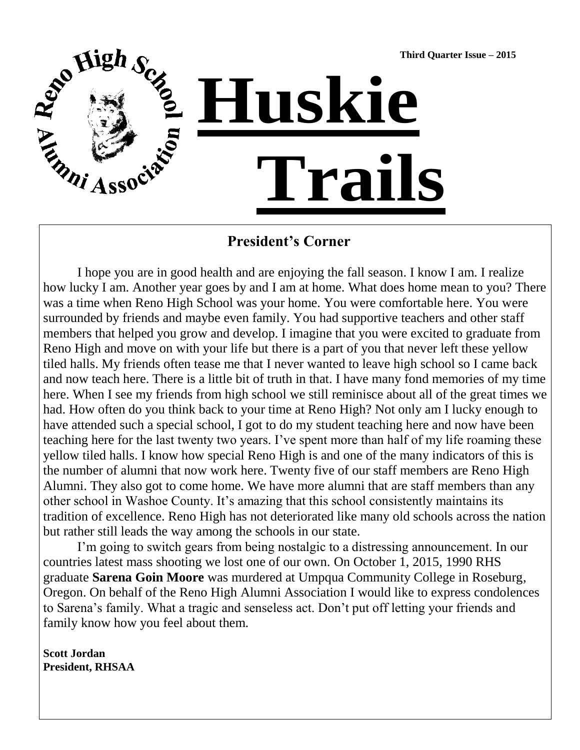

## **President's Corner**

I hope you are in good health and are enjoying the fall season. I know I am. I realize how lucky I am. Another year goes by and I am at home. What does home mean to you? There was a time when Reno High School was your home. You were comfortable here. You were surrounded by friends and maybe even family. You had supportive teachers and other staff members that helped you grow and develop. I imagine that you were excited to graduate from Reno High and move on with your life but there is a part of you that never left these yellow tiled halls. My friends often tease me that I never wanted to leave high school so I came back and now teach here. There is a little bit of truth in that. I have many fond memories of my time here. When I see my friends from high school we still reminisce about all of the great times we had. How often do you think back to your time at Reno High? Not only am I lucky enough to have attended such a special school, I got to do my student teaching here and now have been teaching here for the last twenty two years. I've spent more than half of my life roaming these yellow tiled halls. I know how special Reno High is and one of the many indicators of this is the number of alumni that now work here. Twenty five of our staff members are Reno High Alumni. They also got to come home. We have more alumni that are staff members than any other school in Washoe County. It's amazing that this school consistently maintains its tradition of excellence. Reno High has not deteriorated like many old schools across the nation but rather still leads the way among the schools in our state.

I'm going to switch gears from being nostalgic to a distressing announcement. In our countries latest mass shooting we lost one of our own. On October 1, 2015, 1990 RHS graduate **Sarena Goin Moore** was murdered at Umpqua Community College in Roseburg, Oregon. On behalf of the Reno High Alumni Association I would like to express condolences to Sarena's family. What a tragic and senseless act. Don't put off letting your friends and family know how you feel about them.

**Scott Jordan President, RHSAA**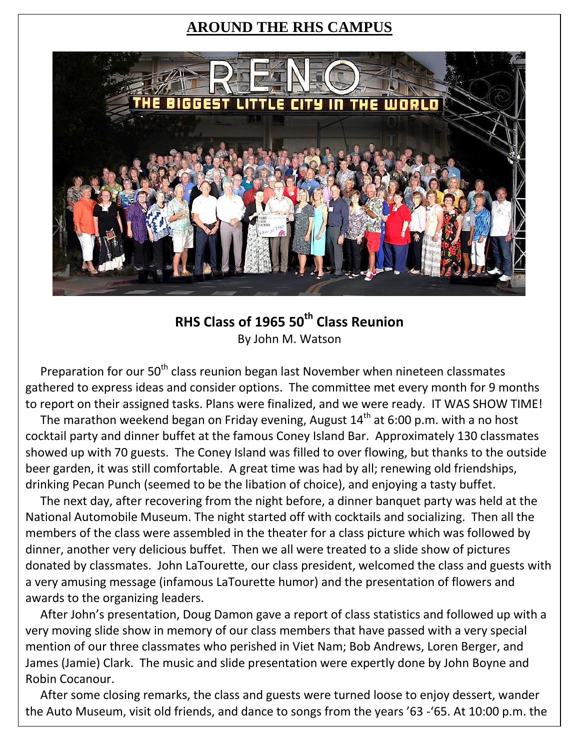# **AROUND THE RHS CAMPUS**



# **RHS Class of 1965 50th Class Reunion** By John M. Watson

Preparation for our 50<sup>th</sup> class reunion began last November when nineteen classmates gathered to express ideas and consider options. The committee met every month for 9 months to report on their assigned tasks. Plans were finalized, and we were ready. IT WAS SHOW TIME!

The marathon weekend began on Friday evening, August  $14<sup>th</sup>$  at 6:00 p.m. with a no host cocktail party and dinner buffet at the famous Coney Island Bar. Approximately 130 classmates showed up with 70 guests. The Coney Island was filled to over flowing, but thanks to the outside beer garden, it was still comfortable. A great time was had by all; renewing old friendships, drinking Pecan Punch (seemed to be the libation of choice), and enjoying a tasty buffet.

 The next day, after recovering from the night before, a dinner banquet party was held at the National Automobile Museum. The night started off with cocktails and socializing. Then all the members of the class were assembled in the theater for a class picture which was followed by dinner, another very delicious buffet. Then we all were treated to a slide show of pictures donated by classmates. John LaTourette, our class president, welcomed the class and guests with a very amusing message (infamous LaTourette humor) and the presentation of flowers and awards to the organizing leaders.

 After John's presentation, Doug Damon gave a report of class statistics and followed up with a very moving slide show in memory of our class members that have passed with a very special mention of our three classmates who perished in Viet Nam; Bob Andrews, Loren Berger, and James (Jamie) Clark. The music and slide presentation were expertly done by John Boyne and Robin Cocanour.

 After some closing remarks, the class and guests were turned loose to enjoy dessert, wander the Auto Museum, visit old friends, and dance to songs from the years '63 -'65. At 10:00 p.m. the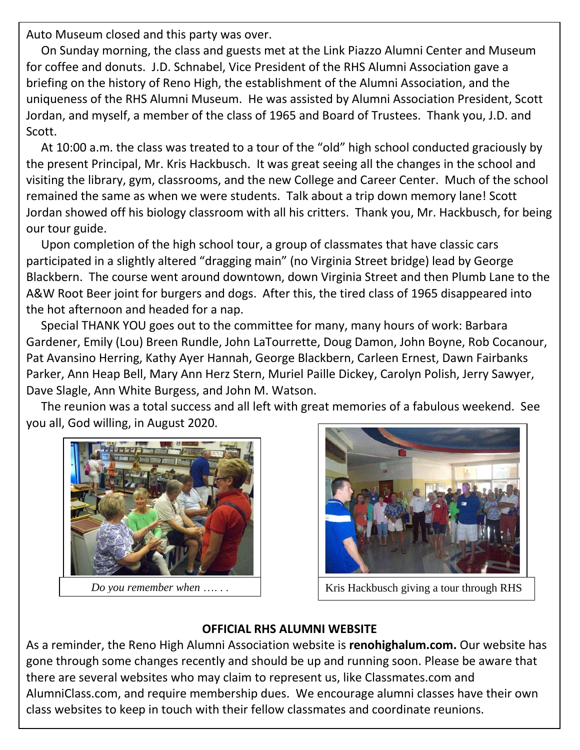Auto Museum closed and this party was over.

 On Sunday morning, the class and guests met at the Link Piazzo Alumni Center and Museum for coffee and donuts. J.D. Schnabel, Vice President of the RHS Alumni Association gave a briefing on the history of Reno High, the establishment of the Alumni Association, and the uniqueness of the RHS Alumni Museum. He was assisted by Alumni Association President, Scott Jordan, and myself, a member of the class of 1965 and Board of Trustees. Thank you, J.D. and Scott.

..<br>1. O. O. September 10, the New Superior of the Supreme College (Gold) high School Gymrheid Gymrheid Gymreig At 10:00 a.m. the class was treated to a tour of the "old" high school conducted graciously by the present Principal, Mr. Kris Hackbusch. It was great seeing all the changes in the school and visiting the library, gym, classrooms, and the new College and Career Center. Much of the school remained the same as when we were students. Talk about a trip down memory lane! Scott Excellence in Equation and the State of July. She was presented this honor at the August WCSD Board meeting. She was presented the August WCSD Board meeting. The August WCSD Board meeting. The August WCSD Board meeting. Th Jordan showed off his biology classroom with all his critters. Thank you, Mr. Hackbusch, for being  $\Gamma$  guide. Here platform is to combat bullying. She believes that by telling a trusted adult,  $\Gamma$ our tour guide.

Upon completion of the high school tour, a group of classmates that have classic cars  $\frac{1}{2}$  . There are currently  $\frac{1}{2}$  are currently  $\frac{1}{2}$  are contracted from Reno Highers  $\frac{1}{2}$ participated in a slightly altered "dragging main" (no Virginia Street bridge) lead by George Blackbern. The course went around downtown, down Virginia Street and then Plumb Lane to the A&W Root Beer joint for burgers and dogs. After this, the tired class of 1965 disappeared into the hot afternoon and headed for a nap.

 Special THANK YOU goes out to the committee for many, many hours of work: Barbara Gardener, Emily (Lou) Breen Rundle, John LaTourrette, Doug Damon, John Boyne, Rob Cocanour, Pat Avansino Herring, Kathy Ayer Hannah, George Blackbern, Carleen Ernest, Dawn Fairbanks Parker, Ann Heap Bell, Mary Ann Herz Stern, Muriel Paille Dickey, Carolyn Polish, Jerry Sawyer, Dave Slagle, Ann White Burgess, and John M. Watson.

 The reunion was a total success and all left with great memories of a fabulous weekend. See you all, God willing, in August 2020.





*Do you remember when* ...... | Kris Hackbusch giving a tour through RHS

#### **OFFICIAL RHS ALUMNI WEBSITE**

As a reminder, the Reno High Alumni Association website is **renohighalum.com.** Our website has gone through some changes recently and should be up and running soon. Please be aware that there are several websites who may claim to represent us, like Classmates.com and AlumniClass.com, and require membership dues. We encourage alumni classes have their own class websites to keep in touch with their fellow classmates and coordinate reunions.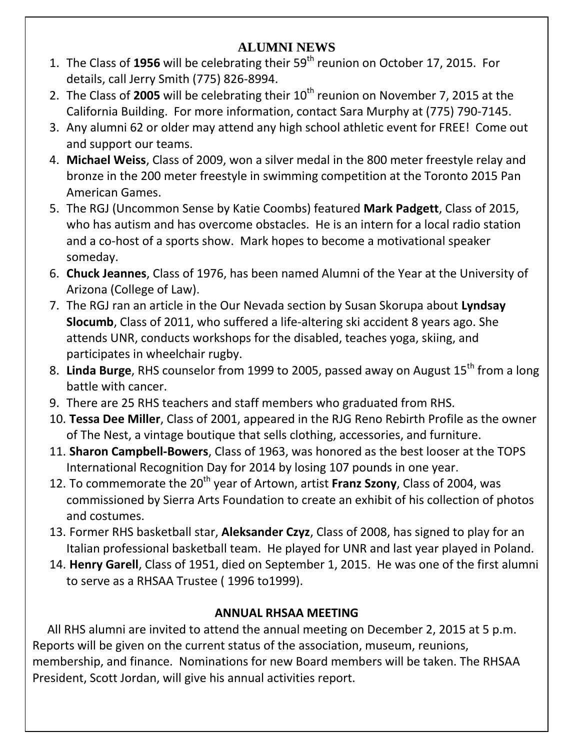#### **2014** RHSAA SCHOLARSHIP WINNERS **ALUMNI NEWS**

- 1. The Class of **1956** will be celebrating their 59th reunion on October 17, 2015. For details, call Jerry Smith (775) 826-8994.
- 2. The Class of 2005 will be celebrating their 10<sup>th</sup> reunion on November 7, 2015 at the California Building. For more information, contact Sara Murphy at (775) 790-7145.
- 3. Any alumni 62 or older may attend any high school athletic event for FREE! Come out and support our teams.
- 4. **Michael Weiss**, Class of 2009, won a silver medal in the 800 meter freestyle relay and bronze in the 200 meter freestyle in swimming competition at the Toronto 2015 Pan American Games.
- 5. The RGJ (Uncommon Sense by Katie Coombs) featured **Mark Padgett**, Class of 2015, who has autism and has overcome obstacles. He is an intern for a local radio station and a co-host of a sports show. Mark hopes to become a motivational speaker someday.
- 6. **Chuck Jeannes**, Class of 1976, has been named Alumni of the Year at the University of Arizona (College of Law).
- 7. The RGJ ran an article in the Our Nevada section by Susan Skorupa about **Lyndsay Slocumb**, Class of 2011, who suffered a life-altering ski accident 8 years ago. She attends UNR, conducts workshops for the disabled, teaches yoga, skiing, and participates in wheelchair rugby.
- 8. Linda Burge, RHS counselor from 1999 to 2005, passed away on August 15<sup>th</sup> from a long battle with cancer.
- 9. There are 25 RHS teachers and staff members who graduated from RHS.
- 10. **Tessa Dee Miller**, Class of 2001, appeared in the RJG Reno Rebirth Profile as the owner of The Nest, a vintage boutique that sells clothing, accessories, and furniture.
- 11. **Sharon Campbell-Bowers**, Class of 1963, was honored as the best looser at the TOPS International Recognition Day for 2014 by losing 107 pounds in one year.
- 12. To commemorate the 20<sup>th</sup> year of Artown, artist **Franz Szony**, Class of 2004, was commissioned by Sierra Arts Foundation to create an exhibit of his collection of photos and costumes.
- 13. Former RHS basketball star, **Aleksander Czyz**, Class of 2008, has signed to play for an Italian professional basketball team. He played for UNR and last year played in Poland.
- 14. **Henry Garell**, Class of 1951, died on September 1, 2015. He was one of the first alumni to serve as a RHSAA Trustee ( 1996 to1999).

# **ANNUAL RHSAA MEETING**

 All RHS alumni are invited to attend the annual meeting on December 2, 2015 at 5 p.m. Reports will be given on the current status of the association, museum, reunions, membership, and finance. Nominations for new Board members will be taken. The RHSAA President, Scott Jordan, will give his annual activities report.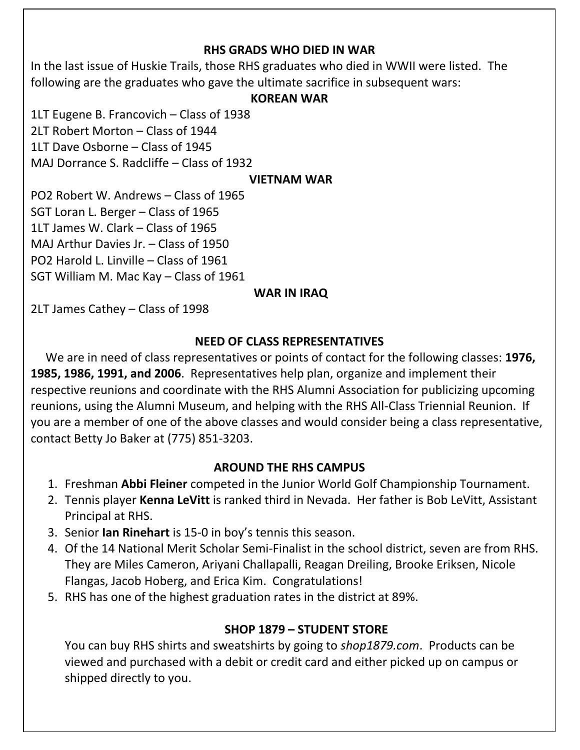#### **RHS GRADS WHO DIED IN WAR**

In the last issue of Huskie Trails, those RHS graduates who died in WWII were listed. The following are the graduates who gave the ultimate sacrifice in subsequent wars:

#### **KOREAN WAR**

1LT Eugene B. Francovich – Class of 1938 2LT Robert Morton – Class of 1944 1LT Dave Osborne – Class of 1945 MAJ Dorrance S. Radcliffe – Class of 1932

#### **VIETNAM WAR**

PO2 Robert W. Andrews – Class of 1965 SGT Loran L. Berger – Class of 1965 1LT James W. Clark – Class of 1965 MAJ Arthur Davies Jr. – Class of 1950 PO2 Harold L. Linville – Class of 1961 SGT William M. Mac Kay – Class of 1961

#### **WAR IN IRAQ**

2LT James Cathey – Class of 1998

## **NEED OF CLASS REPRESENTATIVES**

 We are in need of class representatives or points of contact for the following classes: **1976, 1985, 1986, 1991, and 2006**. Representatives help plan, organize and implement their respective reunions and coordinate with the RHS Alumni Association for publicizing upcoming reunions, using the Alumni Museum, and helping with the RHS All-Class Triennial Reunion. If you are a member of one of the above classes and would consider being a class representative, contact Betty Jo Baker at (775) 851-3203.

## **AROUND THE RHS CAMPUS**

- 1. Freshman **Abbi Fleiner** competed in the Junior World Golf Championship Tournament.
- 2. Tennis player **Kenna LeVitt** is ranked third in Nevada. Her father is Bob LeVitt, Assistant Principal at RHS.
- 3. Senior **Ian Rinehart** is 15-0 in boy's tennis this season.
- 4. Of the 14 National Merit Scholar Semi-Finalist in the school district, seven are from RHS. They are Miles Cameron, Ariyani Challapalli, Reagan Dreiling, Brooke Eriksen, Nicole Flangas, Jacob Hoberg, and Erica Kim. Congratulations!
- 5. RHS has one of the highest graduation rates in the district at 89%.

## **SHOP 1879 – STUDENT STORE**

You can buy RHS shirts and sweatshirts by going to *shop1879.com*. Products can be viewed and purchased with a debit or credit card and either picked up on campus or shipped directly to you.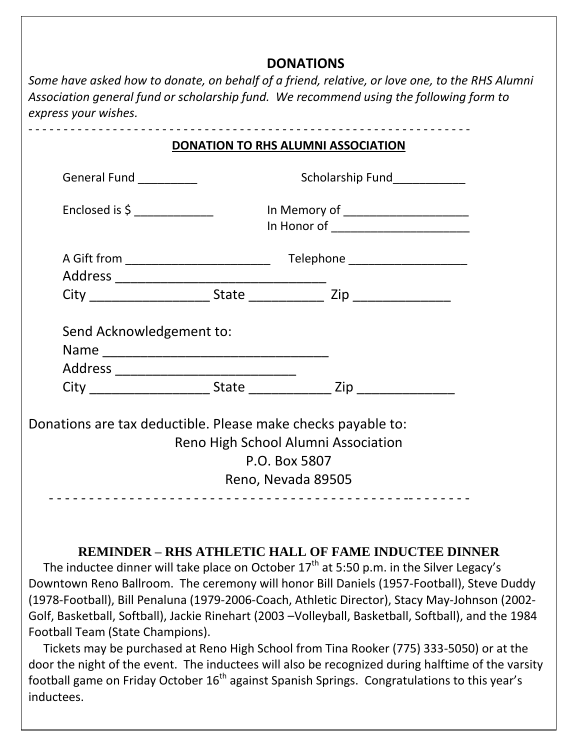# **DONATIONS**

*Some have asked how to donate, on behalf of a friend, relative, or love one, to the RHS Alumni Association general fund or scholarship fund. We recommend using the following form to express your wishes.*

| General Fund _________         | Scholarship Fund____________         |  |
|--------------------------------|--------------------------------------|--|
| Enclosed is \$ _______________ | In Memory of _____________________   |  |
|                                | In Honor of ________________________ |  |
|                                |                                      |  |
|                                |                                      |  |
|                                |                                      |  |
| Send Acknowledgement to:       |                                      |  |
|                                |                                      |  |
|                                |                                      |  |

## **REMINDER – RHS ATHLETIC HALL OF FAME INDUCTEE DINNER**

The inductee dinner will take place on October  $17<sup>th</sup>$  at 5:50 p.m. in the Silver Legacy's Downtown Reno Ballroom. The ceremony will honor Bill Daniels (1957-Football), Steve Duddy (1978-Football), Bill Penaluna (1979-2006-Coach, Athletic Director), Stacy May-Johnson (2002- Golf, Basketball, Softball), Jackie Rinehart (2003 –Volleyball, Basketball, Softball), and the 1984 Football Team (State Champions).

 Tickets may be purchased at Reno High School from Tina Rooker (775) 333-5050) or at the door the night of the event. The inductees will also be recognized during halftime of the varsity football game on Friday October  $16<sup>th</sup>$  against Spanish Springs. Congratulations to this year's inductees.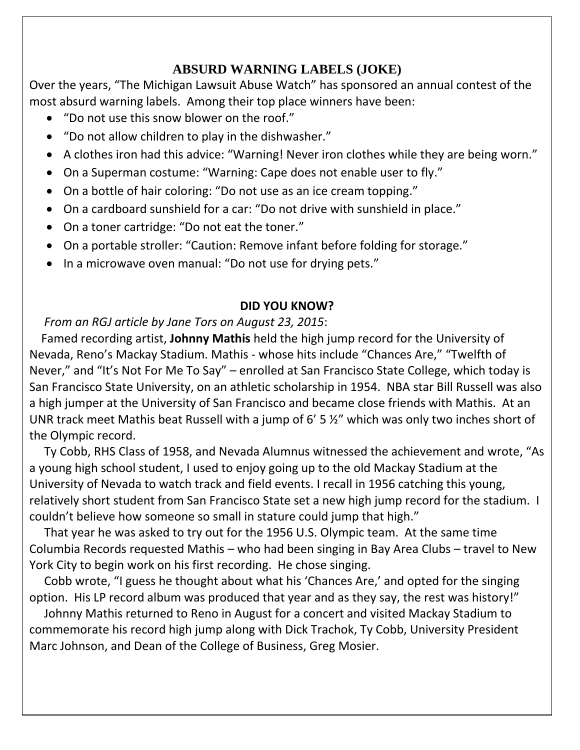## **ABSURD WARNING LABELS (JOKE)**

Over the years, "The Michigan Lawsuit Abuse Watch" has sponsored an annual contest of the most absurd warning labels. Among their top place winners have been:

- "Do not use this snow blower on the roof."
- "Do not allow children to play in the dishwasher."
- A clothes iron had this advice: "Warning! Never iron clothes while they are being worn."
- On a Superman costume: "Warning: Cape does not enable user to fly."
- On a bottle of hair coloring: "Do not use as an ice cream topping."
- On a cardboard sunshield for a car: "Do not drive with sunshield in place."
- On a toner cartridge: "Do not eat the toner."
- On a portable stroller: "Caution: Remove infant before folding for storage."
- In a microwave oven manual: "Do not use for drying pets."

#### **DID YOU KNOW?**

## *From an RGJ article by Jane Tors on August 23, 2015*:

 Famed recording artist, **Johnny Mathis** held the high jump record for the University of Nevada, Reno's Mackay Stadium. Mathis - whose hits include "Chances Are," "Twelfth of Never," and "It's Not For Me To Say" – enrolled at San Francisco State College, which today is San Francisco State University, on an athletic scholarship in 1954. NBA star Bill Russell was also a high jumper at the University of San Francisco and became close friends with Mathis. At an UNR track meet Mathis beat Russell with a jump of 6' 5 ½" which was only two inches short of the Olympic record.

 Ty Cobb, RHS Class of 1958, and Nevada Alumnus witnessed the achievement and wrote, "As a young high school student, I used to enjoy going up to the old Mackay Stadium at the University of Nevada to watch track and field events. I recall in 1956 catching this young, relatively short student from San Francisco State set a new high jump record for the stadium. I couldn't believe how someone so small in stature could jump that high."

 That year he was asked to try out for the 1956 U.S. Olympic team. At the same time Columbia Records requested Mathis – who had been singing in Bay Area Clubs – travel to New York City to begin work on his first recording. He chose singing.

 Cobb wrote, "I guess he thought about what his 'Chances Are,' and opted for the singing option. His LP record album was produced that year and as they say, the rest was history!"

 Johnny Mathis returned to Reno in August for a concert and visited Mackay Stadium to commemorate his record high jump along with Dick Trachok, Ty Cobb, University President Marc Johnson, and Dean of the College of Business, Greg Mosier.